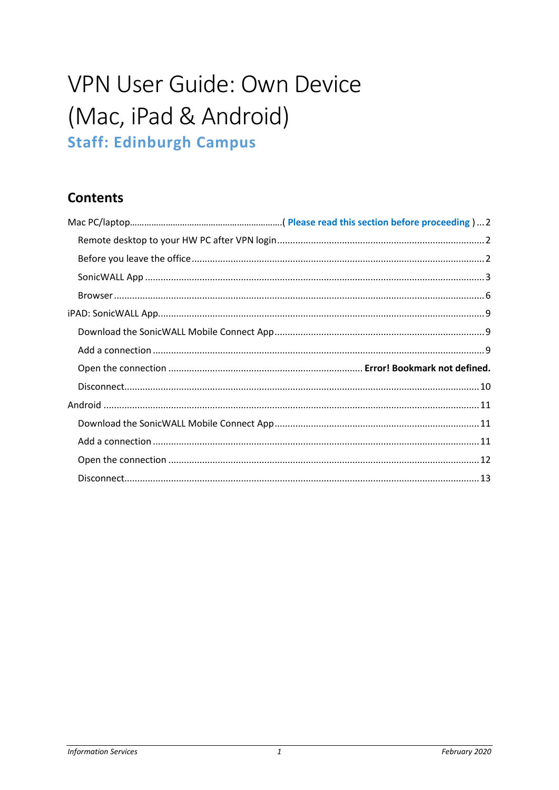# VPN User Guide: Own Device (Mac, iPad & Android) **Staff: Edinburgh Campus**

# **Contents**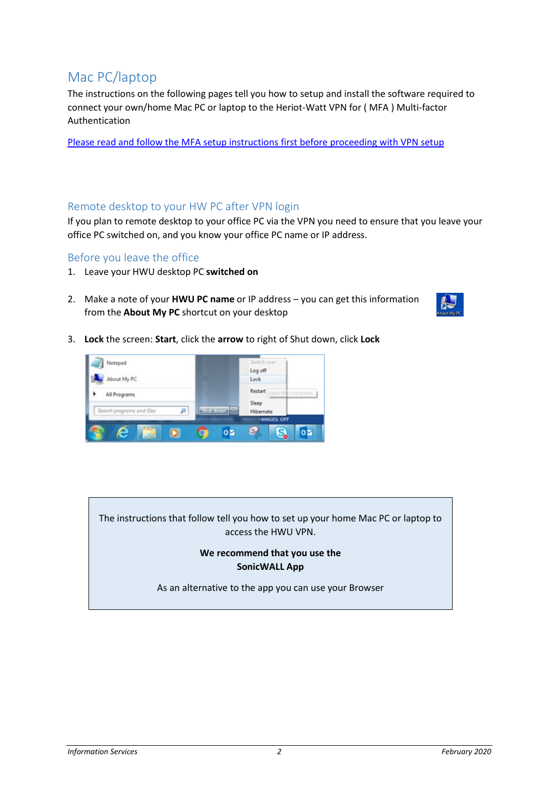# <span id="page-1-0"></span>Mac PC/laptop

The instructions on the following pages tell you how to setup and install the software required to connect your own/home Mac PC or laptop to the Heriot-Watt VPN for ( MFA ) Multi-factor Authentication

Please read and follow the MFA setup instructions first before proceeding with VPN setup

# <span id="page-1-1"></span>Remote desktop to your HW PC after VPN login

If you plan to remote desktop to your office PC via the VPN you need to ensure that you leave your office PC switched on, and you know your office PC name or IP address.

# <span id="page-1-2"></span>Before you leave the office

- 1. Leave your HWU desktop PC **switched on**
- 2. Make a note of your **HWU PC name** or IP address you can get this information from the **About My PC** shortcut on your desktop



3. **Lock** the screen: **Start**, click the **arrow** to right of Shut down, click **Lock**



The instructions that follow tell you how to set up your home Mac PC or laptop to access the HWU VPN.

## **We recommend that you use the SonicWALL App**

As an alternative to the app you can use your Browser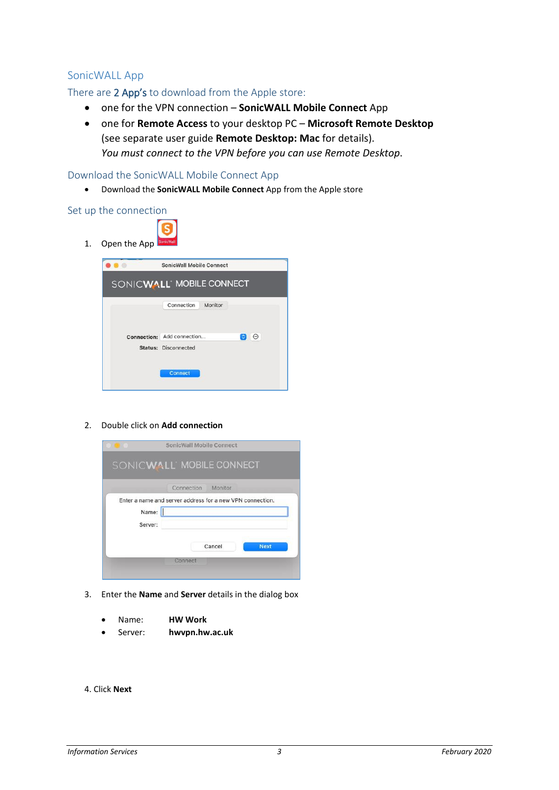## <span id="page-2-0"></span>SonicWALL App

## There are 2 App's to download from the Apple store:

- one for the VPN connection **SonicWALL Mobile Connect** App
- one for **Remote Access** to your desktop PC **Microsoft Remote Desktop** (see separate user guide **Remote Desktop: Mac** for details). *You must connect to the VPN before you can use Remote Desktop*.

#### Download the SonicWALL Mobile Connect App

• Download the **SonicWALL Mobile Connect** App from the Apple store

#### Set up the connection

| <b>SonicWall Mobile Connect</b> |        |
|---------------------------------|--------|
| SONICWALL MOBILE CONNECT        |        |
| Connection<br>Monitor           |        |
| Connection: Add connection      | Ю<br>⊕ |
| <b>Status: Disconnected</b>     |        |

#### 2. Double click on **Add connection**



- 3. Enter the **Name** and **Server** details in the dialog box
	- Name: **HW Work**
	- Server: **hwvpn.hw.ac.uk**
- 4. Click **Next**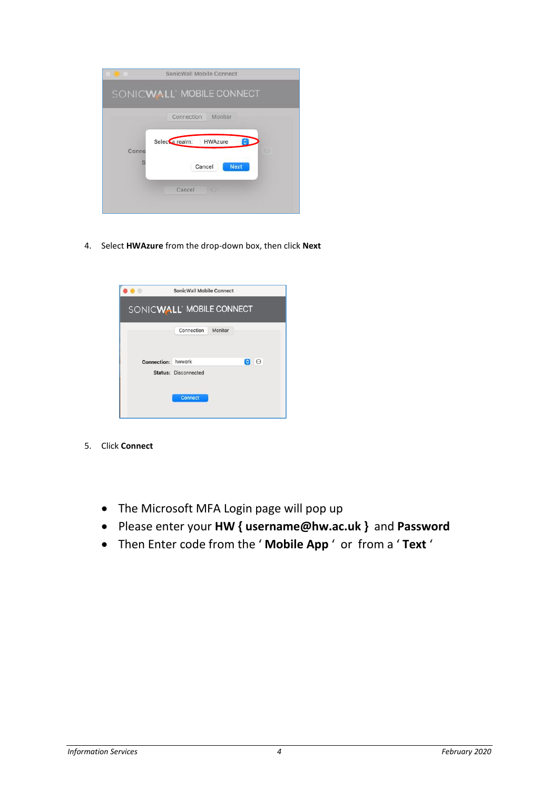|       | SonicWall Mobile Connect             |
|-------|--------------------------------------|
|       | SONICWALL MOBILE CONNECT             |
|       | Connection<br>Monitor                |
| Conne | Selecta realm:<br>HWAzure<br>٥<br>66 |
|       | <b>Next</b><br>Cancel                |
|       | Cancel<br>55                         |
|       |                                      |

4. Select **HWAzure** from the drop-down box, then click **Next**

|                    | <b>SonicWall Mobile Connect</b> |                  |
|--------------------|---------------------------------|------------------|
|                    | SONICWALL MOBILE CONNECT        |                  |
|                    | Connection<br>Monitor           |                  |
| <b>Connection:</b> | hwwork                          | le<br>$_{\odot}$ |
|                    | <b>Status: Disconnected</b>     |                  |
|                    | <b>Connect</b>                  |                  |

- 5. Click **Connect**
	- The Microsoft MFA Login page will pop up
	- Please enter your **HW { username@hw.ac.uk }** and **Password**
	- Then Enter code from the ' **Mobile App** ' or from a ' **Text** '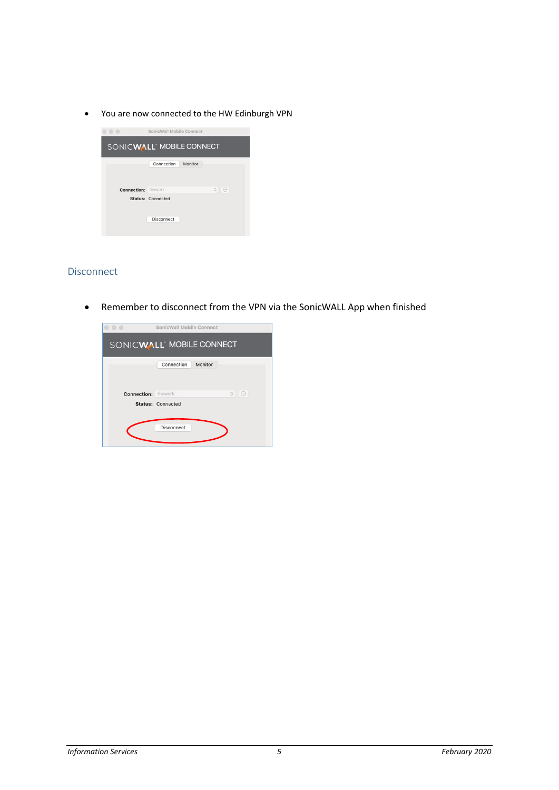• You are now connected to the HW Edinburgh VPN



#### Disconnect

• Remember to disconnect from the VPN via the SonicWALL App when finished

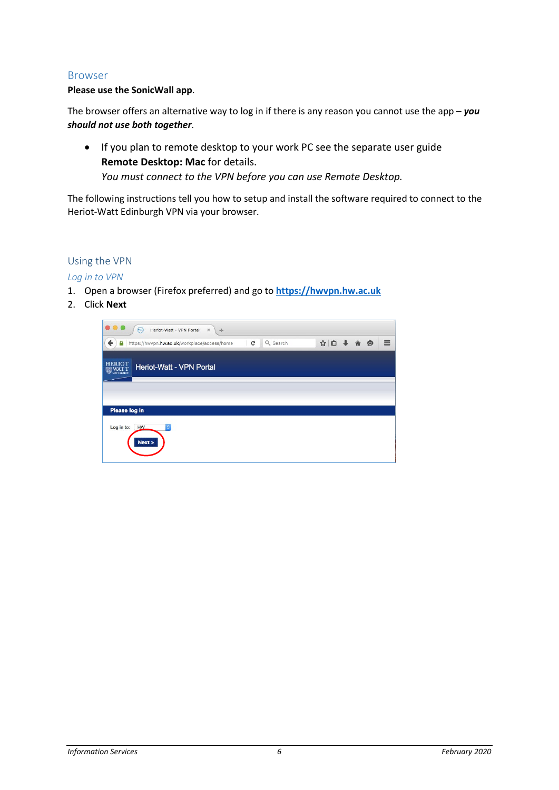#### <span id="page-5-0"></span>Browser

#### **Please use the SonicWall app**.

The browser offers an alternative way to log in if there is any reason you cannot use the app – *you should not use both together*.

• If you plan to remote desktop to your work PC see the separate user guide **Remote Desktop: Mac** for details. *You must connect to the VPN before you can use Remote Desktop.*

The following instructions tell you how to setup and install the software required to connect to the Heriot-Watt Edinburgh VPN via your browser.

#### Using the VPN

*Log in to VPN*

- 1. Open a browser (Firefox preferred) and go to **[https://hwvpn.hw.ac.uk](https://hwvpn.hw.ac.uk/)**
- 2. Click **Next**

| Heriot-Watt - VPN Portal<br>$\mathbb{X}$<br>$(\infty)$<br>÷                                   |                   |
|-----------------------------------------------------------------------------------------------|-------------------|
| $\leftarrow$<br>Q Search<br>$\mathbf{C}$<br>https://hwvpn.hw.ac.uk/workplace/access/home<br>۵ | ☆自→合●<br>$\equiv$ |
| <b>HERIOT</b><br>Heriot-Watt - VPN Portal<br><b>UNIVERSITY</b>                                |                   |
|                                                                                               |                   |
| Please log in                                                                                 |                   |
| $\Diamond$<br>Log in to:<br><b>HW</b><br>Next                                                 |                   |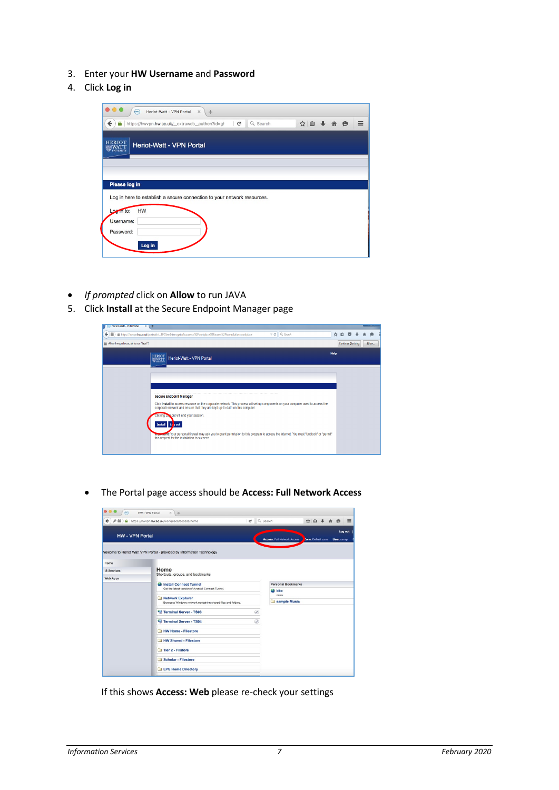- 3. Enter your **HW Username** and **Password**
- 4. Click **Log in**

| ←                | https://hwvpn.hw.ac.uk/_extraweb_authen?id=gl                           | $\mathbf{C}^i$ | Q Search | ☆自→介● |  | $\equiv$ |
|------------------|-------------------------------------------------------------------------|----------------|----------|-------|--|----------|
|                  |                                                                         |                |          |       |  |          |
| <b>HERIOT</b>    |                                                                         |                |          |       |  |          |
|                  | Heriot-Watt - VPN Portal                                                |                |          |       |  |          |
|                  |                                                                         |                |          |       |  |          |
|                  |                                                                         |                |          |       |  |          |
|                  |                                                                         |                |          |       |  |          |
|                  |                                                                         |                |          |       |  |          |
|                  |                                                                         |                |          |       |  |          |
| Please log in    |                                                                         |                |          |       |  |          |
|                  | Log in here to establish a secure connection to your network resources. |                |          |       |  |          |
|                  |                                                                         |                |          |       |  |          |
| HW<br>Log in to: |                                                                         |                |          |       |  |          |
| Username:        |                                                                         |                |          |       |  |          |
| Password:        |                                                                         |                |          |       |  |          |

- *If prompted* click on **Allow** to run JAVA
- 5. Click **Install** at the Secure Endpoint Manager page

| (e) Heriot-Watt - VPN Portal<br>$X +$ |                                                                                                                                                                                                                                                               |             |    |                   |  |           |
|---------------------------------------|---------------------------------------------------------------------------------------------------------------------------------------------------------------------------------------------------------------------------------------------------------------|-------------|----|-------------------|--|-----------|
| ٠                                     | $\nabla$ $C$ Q, Search<br>A https://hwvpn.hw.ac.uk/postauth/_EPCSemInterrogator?success=%2Fworkplace%2Faccess%2Fhome&alias=workplace                                                                                                                          |             | ☆自 | ▽                 |  | $\bullet$ |
| E Allow hwypn.hw.ac.uk to run "Java"? |                                                                                                                                                                                                                                                               |             |    | Continue Blocking |  | Allow     |
|                                       | $\begin{array}{c} \text{HERIOT} \\ \text{WATT} \end{array}$<br>Heriot-Watt - VPN Portal                                                                                                                                                                       | <b>Help</b> |    |                   |  |           |
|                                       |                                                                                                                                                                                                                                                               |             |    |                   |  |           |
|                                       | <b>Secure Endpoint Manager</b>                                                                                                                                                                                                                                |             |    |                   |  |           |
|                                       | Click Install to access resource on the corporate network. This process will set up components on your computer used to access the<br>corporate network and ensure that they are kept up-to-date on this computer.<br>Clicking Los out will end your session. |             |    |                   |  |           |
|                                       | Install Le pout                                                                                                                                                                                                                                               |             |    |                   |  |           |
|                                       | important: Your personal firewall may ask you to grant permission to this program to access the internet. You must "Unblock" or "permit"<br>this request for the installation to succeed.                                                                     |             |    |                   |  |           |
|                                       |                                                                                                                                                                                                                                                               |             |    |                   |  |           |

• The Portal page access should be **Access: Full Network Access**



If this shows **Access: Web** please re-check your settings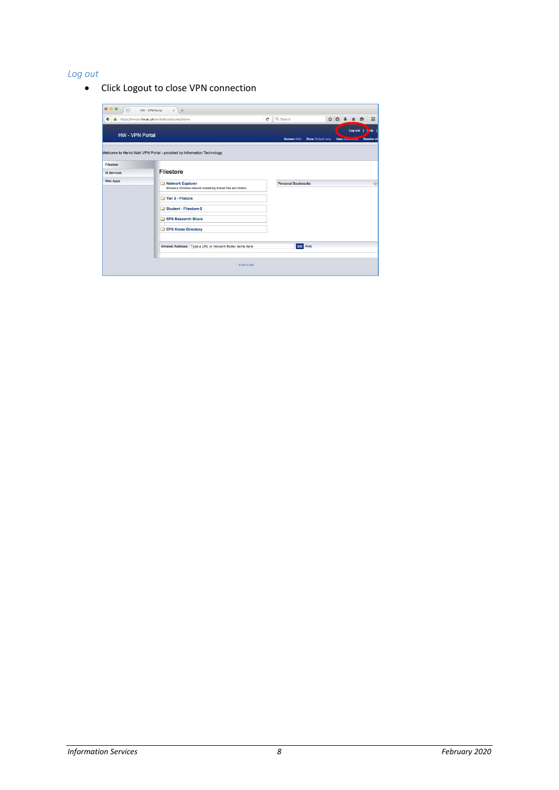# *Log out*

• Click Logout to close VPN connection

|                                 | https://hwvpn.hw.ac.uk/workplace/access/home                                                           | $\mathcal{C}^{\prime}$ | Q Search                  |                    | ☆ 自 → 合 例 |                                           |                                          |
|---------------------------------|--------------------------------------------------------------------------------------------------------|------------------------|---------------------------|--------------------|-----------|-------------------------------------------|------------------------------------------|
| <b>HW - VPN Portal</b>          |                                                                                                        |                        | Access: Web               | Zone: Default zone |           | Log out  <br><b>User: Studen novement</b> | H <sub>p</sub><br>٠<br><b>Session</b> st |
| Filestore<br><b>IS Services</b> | Welcome to Heriot Watt VPN Portal - provided by Information Technology<br><b>Filestore</b>             |                        |                           |                    |           |                                           |                                          |
| <b>Web Apps</b>                 | Network Explorer<br>Browse a Windows network containing shared files and folders.<br>Tier 2 - Filstore |                        | <b>Personal Bookmarks</b> |                    |           |                                           |                                          |
|                                 | Student - Filestore-2<br><b>EPS Research Share</b><br><b>EPS Home Directory</b>                        |                        |                           |                    |           |                                           |                                          |
|                                 |                                                                                                        |                        |                           |                    |           |                                           |                                          |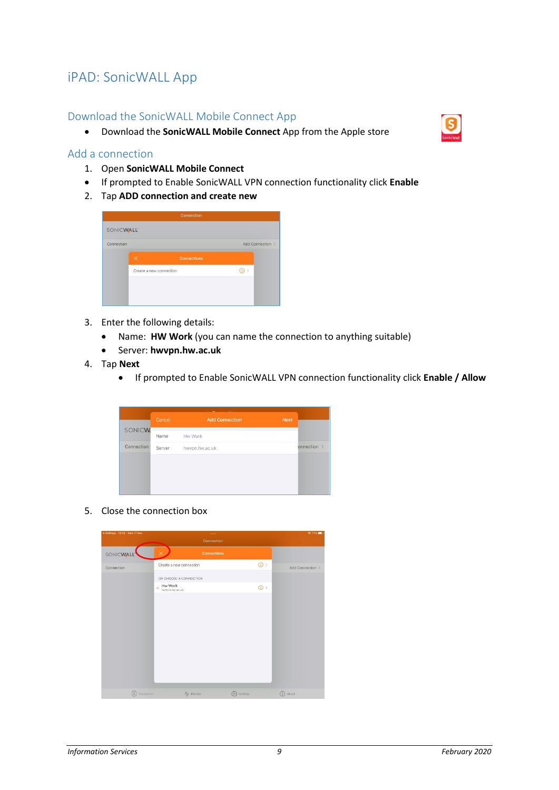# <span id="page-8-0"></span>iPAD: SonicWALL App

## <span id="page-8-1"></span>Download the SonicWALL Mobile Connect App

• Download the **SonicWALL Mobile Connect** App from the Apple store

#### <span id="page-8-2"></span>Add a connection

- 1. Open **SonicWALL Mobile Connect**
- If prompted to Enable SonicWALL VPN connection functionality click **Enable**
- 2. Tap **ADD connection and create new**

|            | Connection                     |                  |  |
|------------|--------------------------------|------------------|--|
| SONICWALL  |                                |                  |  |
| Connection |                                | Add Connection > |  |
|            | $\times$<br><b>Connections</b> |                  |  |
|            | Create a new connection        |                  |  |
|            |                                |                  |  |
|            |                                |                  |  |

- 3. Enter the following details:
	- Name: **HW Work** (you can name the connection to anything suitable)
	- Server: **hwvpn.hw.ac.uk**
- 4. Tap **Next**
	- If prompted to Enable SonicWALL VPN connection functionality click **Enable / Allow**

|               |        | $\sim$<br>-           |      |             |
|---------------|--------|-----------------------|------|-------------|
|               | Cancel | <b>Add Connection</b> | Next |             |
| <b>SONICW</b> | Name   | Hw Work               |      |             |
| Connection    | Server | hwypn.hw.ac.uk        |      | onnection > |
|               |        |                       |      |             |
|               |        |                       |      |             |
|               |        |                       |      |             |
|               |        |                       |      |             |

5. Close the connection box

| <br>Settings 13:28 Wed 17 Nov |                                | $\cdots$<br>Connection |          |                             | $277\%$ |
|-------------------------------|--------------------------------|------------------------|----------|-----------------------------|---------|
| SONICWALL                     | $\times$ .                     | <b>Connections</b>     |          |                             |         |
| Connection                    | Create a new connection        |                        |          | $\circ$<br>Add Connection > |         |
|                               | OR CHOOSE A CONNECTION         |                        |          |                             |         |
|                               | Hw Work<br>hwypn.hw.ac.uk<br>V |                        |          | $\textcircled{f}$           |         |
|                               |                                |                        |          |                             |         |
|                               |                                |                        |          |                             |         |
|                               |                                |                        |          |                             |         |
|                               |                                |                        |          |                             |         |
|                               |                                |                        |          |                             |         |
|                               |                                |                        |          |                             |         |
|                               |                                |                        |          |                             |         |
|                               |                                |                        |          |                             |         |
|                               |                                |                        |          |                             |         |
| Connection:<br>$\left($ S     |                                | $A$ -Monitor           | Settings | About<br>G                  |         |

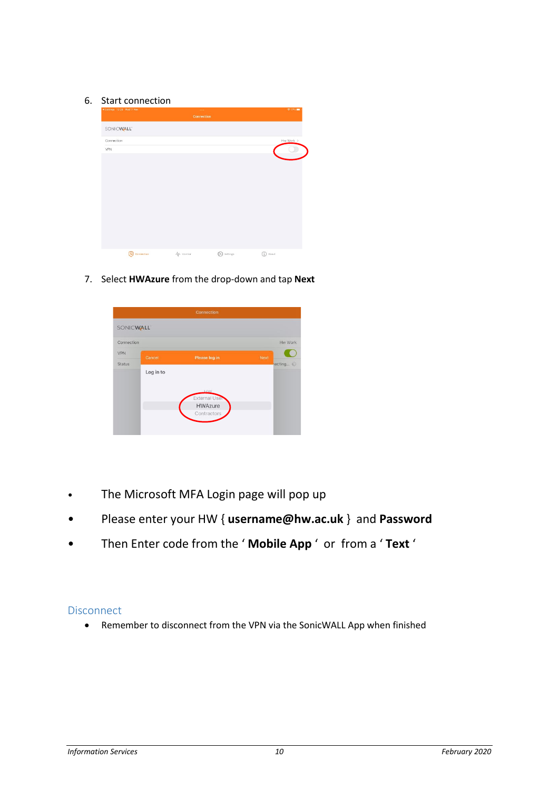#### 6. Start connection

| 4 Settings 13-28 Wed 17 Nov | $\sim$<br>Connection |                   | <b>全方%■</b> |
|-----------------------------|----------------------|-------------------|-------------|
| SONICWALL <sup>®</sup>      |                      |                   |             |
| Connection                  |                      |                   | Hw Work >   |
| VPN                         |                      |                   |             |
|                             |                      |                   |             |
|                             |                      |                   |             |
|                             |                      |                   |             |
|                             |                      |                   |             |
|                             |                      |                   |             |
|                             |                      |                   |             |
|                             |                      |                   |             |
|                             |                      |                   |             |
|                             |                      |                   |             |
| S Connection                | $A$ -Monitor         | <b>D</b> Settings | (i) About   |

7. Select **HWAzure** from the drop-down and tap **Next**

| Connection       |           |                     |      |           |  |
|------------------|-----------|---------------------|------|-----------|--|
| <b>SONICWALL</b> |           |                     |      |           |  |
| Connection       |           |                     |      | Hw Work   |  |
| <b>VPN</b>       | Cancel    | Please log in       | Next |           |  |
| <b>Status</b>    |           |                     |      | lecting % |  |
|                  | Log in to |                     |      |           |  |
|                  |           |                     |      |           |  |
|                  |           | HW<br>External User |      |           |  |
|                  |           | <b>HWAzure</b>      |      |           |  |
|                  |           | Contractors         |      |           |  |
|                  |           |                     |      |           |  |
|                  |           |                     |      |           |  |

- The Microsoft MFA Login page will pop up
- Please enter your HW { **username@hw.ac.uk** } and **Password**
- Then Enter code from the ' **Mobile App** ' or from a ' **Text** '

# <span id="page-9-0"></span>**Disconnect**

• Remember to disconnect from the VPN via the SonicWALL App when finished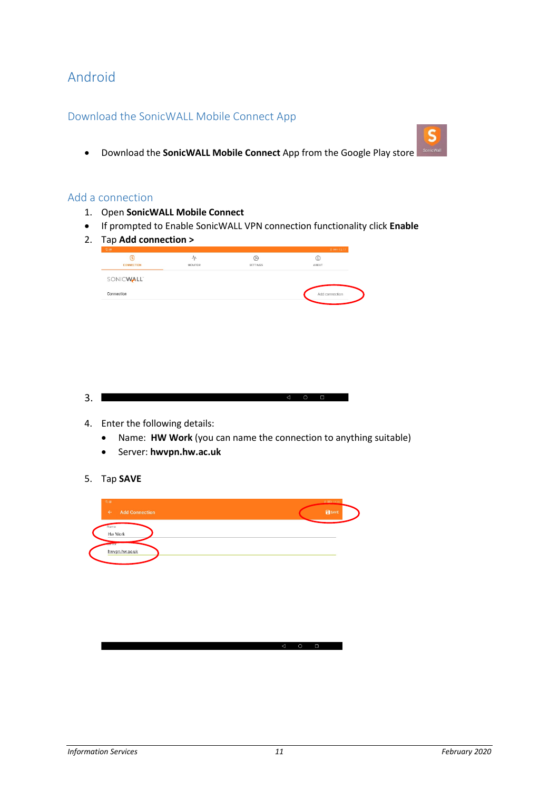# <span id="page-10-0"></span>Android

# <span id="page-10-1"></span>Download the SonicWALL Mobile Connect App

• Download the **SonicWALL Mobile Connect** App from the Google Play store

#### <span id="page-10-2"></span>Add a connection

- 1. Open **SonicWALL Mobile Connect**
- If prompted to Enable SonicWALL VPN connection functionality click **Enable**
- 2. Tap **Add connection >**

| G)<br>CONNECTION       | ₩<br>MONITOR | ⊛<br>SETTINGS | C<br>ABOUT     |
|------------------------|--------------|---------------|----------------|
| SONICWALL <sup>®</sup> |              |               |                |
| Connection             |              |               | Add connection |
|                        |              |               |                |

- $3.1$
- 4. Enter the following details:
	- Name: **HW Work** (you can name the connection to anything suitable)
	- Server: **hwvpn.hw.ac.uk**
- 5. Tap **SAVE**

| 常直<br><b>Add Connection</b><br>$\leftarrow$ | 8 IIID 13:20<br><b>B</b> SAVE |
|---------------------------------------------|-------------------------------|
| Name<br>Hw Work                             |                               |
| <b>Just Met</b><br>hwypn.hw.ac.uk           |                               |
|                                             |                               |
|                                             |                               |
|                                             |                               |
|                                             |                               |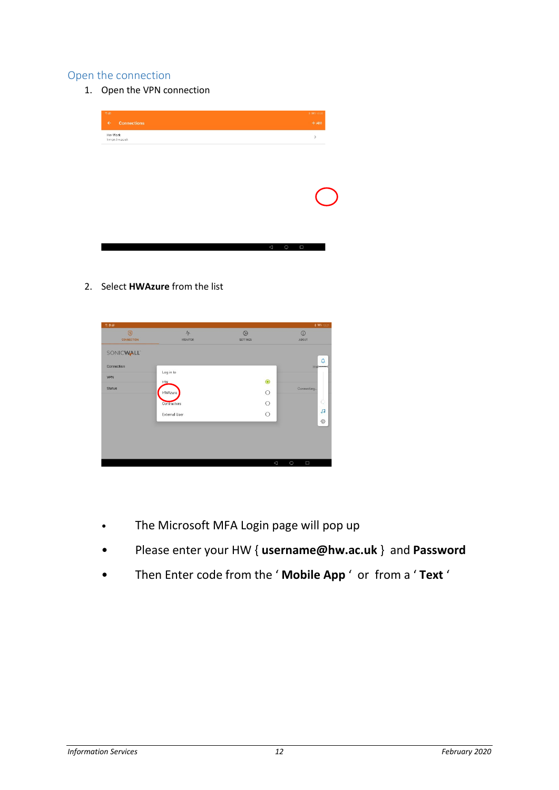# <span id="page-11-0"></span>Open the connection

1. Open the VPN connection

| 宗圖<br><b>Connections</b><br>$\leftarrow$ | \$101320<br>$+$ ADD                  |
|------------------------------------------|--------------------------------------|
| Hw Work<br>hwypn.hw.ac.uk                | $\,$                                 |
|                                          |                                      |
|                                          |                                      |
|                                          |                                      |
|                                          |                                      |
|                                          |                                      |
|                                          |                                      |
|                                          |                                      |
|                                          | $\triangleleft$<br>$\circ$<br>$\Box$ |

2. Select **HWAzure** from the list

| 常身面           |                                 |                 | * WD 13:21                                                |
|---------------|---------------------------------|-----------------|-----------------------------------------------------------|
| $\circledS$   | $\mathcal{N}$<br><b>MONITOR</b> | $\circledcirc$  | $\circled{1}$                                             |
| CONNECTION    |                                 | <b>SETTINGS</b> | <b>ABOUT</b>                                              |
| SONICWALL"    |                                 |                 |                                                           |
| Connection    |                                 |                 | ۵<br><b>Hypercent</b>                                     |
| VPN           | Log in to                       |                 |                                                           |
| <b>Status</b> | HW.                             | $\bullet$       | Connecting                                                |
|               | HWAzure                         | $\circ$         |                                                           |
|               | Contractors                     | $\circ$         | Ċ                                                         |
|               | <b>External User</b>            | $\circ$         | 日                                                         |
|               |                                 |                 | $\{ \begin{smallmatrix} 0 \\ 0 \\ 0 \end{smallmatrix} \}$ |
|               |                                 |                 |                                                           |
|               |                                 |                 |                                                           |
|               |                                 |                 |                                                           |
|               |                                 | $\triangle$     | $\circ$<br>$\Box$                                         |

- The Microsoft MFA Login page will pop up
- Please enter your HW { **username@hw.ac.uk** } and **Password**
- Then Enter code from the ' **Mobile App** ' or from a ' **Text** '